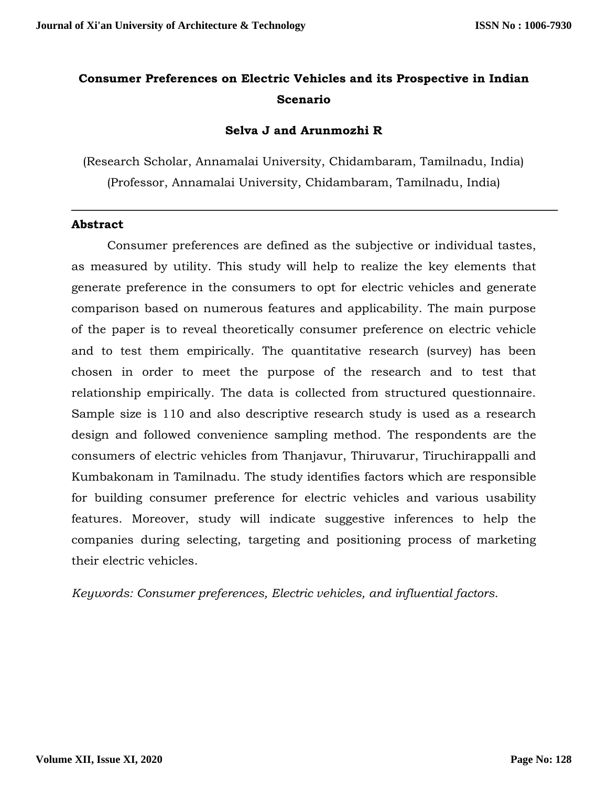# **Consumer Preferences on Electric Vehicles and its Prospective in Indian Scenario**

# **Selva J and Arunmozhi R**

(Research Scholar, Annamalai University, Chidambaram, Tamilnadu, India) (Professor, Annamalai University, Chidambaram, Tamilnadu, India)

## **Abstract**

Consumer preferences are defined as the subjective or individual tastes, as measured by utility. This study will help to realize the key elements that generate preference in the consumers to opt for electric vehicles and generate comparison based on numerous features and applicability. The main purpose of the paper is to reveal theoretically consumer preference on electric vehicle and to test them empirically. The quantitative research (survey) has been chosen in order to meet the purpose of the research and to test that relationship empirically. The data is collected from structured questionnaire. Sample size is 110 and also descriptive research study is used as a research design and followed convenience sampling method. The respondents are the consumers of electric vehicles from Thanjavur, Thiruvarur, Tiruchirappalli and Kumbakonam in Tamilnadu. The study identifies factors which are responsible for building consumer preference for electric vehicles and various usability features. Moreover, study will indicate suggestive inferences to help the companies during selecting, targeting and positioning process of marketing their electric vehicles.

*Keywords: Consumer preferences, Electric vehicles, and influential factors.*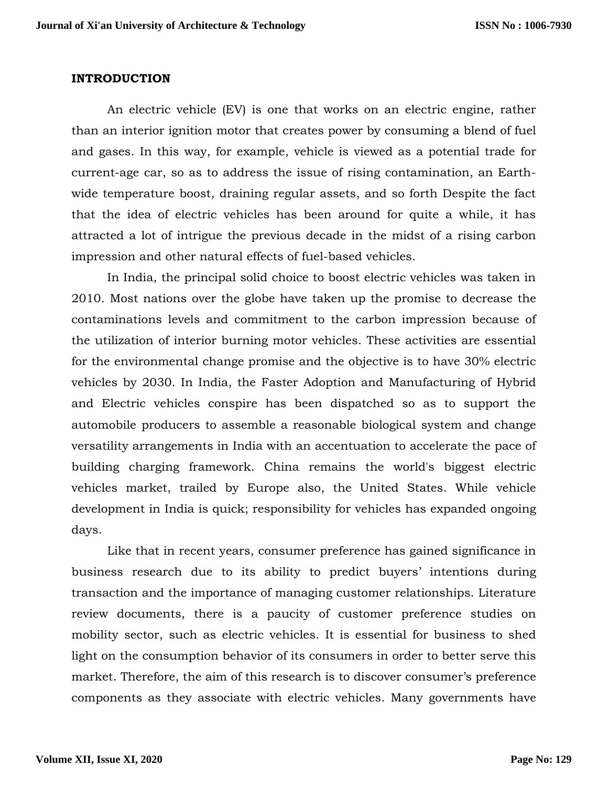## **INTRODUCTION**

An electric vehicle (EV) is one that works on an electric engine, rather than an interior ignition motor that creates power by consuming a blend of fuel and gases. In this way, for example, vehicle is viewed as a potential trade for current-age car, so as to address the issue of rising contamination, an Earthwide temperature boost, draining regular assets, and so forth Despite the fact that the idea of electric vehicles has been around for quite a while, it has attracted a lot of intrigue the previous decade in the midst of a rising carbon impression and other natural effects of fuel-based vehicles.

In India, the principal solid choice to boost electric vehicles was taken in 2010. Most nations over the globe have taken up the promise to decrease the contaminations levels and commitment to the carbon impression because of the utilization of interior burning motor vehicles. These activities are essential for the environmental change promise and the objective is to have 30% electric vehicles by 2030. In India, the Faster Adoption and Manufacturing of Hybrid and Electric vehicles conspire has been dispatched so as to support the automobile producers to assemble a reasonable biological system and change versatility arrangements in India with an accentuation to accelerate the pace of building charging framework. China remains the world's biggest electric vehicles market, trailed by Europe also, the United States. While vehicle development in India is quick; responsibility for vehicles has expanded ongoing days.

Like that in recent years, consumer preference has gained significance in business research due to its ability to predict buyers' intentions during transaction and the importance of managing customer relationships. Literature review documents, there is a paucity of customer preference studies on mobility sector, such as electric vehicles. It is essential for business to shed light on the consumption behavior of its consumers in order to better serve this market. Therefore, the aim of this research is to discover consumer's preference components as they associate with electric vehicles. Many governments have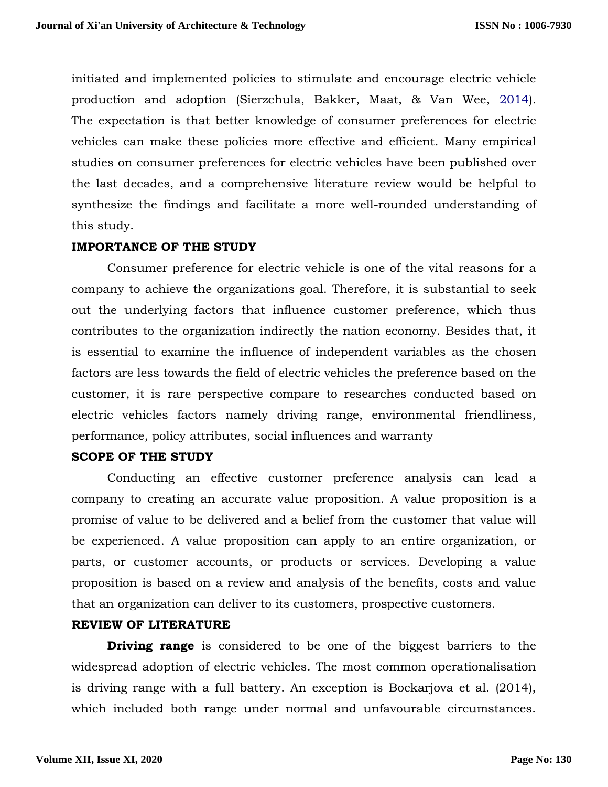initiated and implemented policies to stimulate and encourage electric vehicle production and adoption (Sierzchula, Bakker, Maat, & Van Wee, 2014). The expectation is that better knowledge of consumer preferences for electric vehicles can make these policies more effective and efficient. Many empirical studies on consumer preferences for electric vehicles have been published over the last decades, and a comprehensive literature review would be helpful to synthesize the findings and facilitate a more well-rounded understanding of this study.

# **IMPORTANCE OF THE STUDY**

Consumer preference for electric vehicle is one of the vital reasons for a company to achieve the organizations goal. Therefore, it is substantial to seek out the underlying factors that influence customer preference, which thus contributes to the organization indirectly the nation economy. Besides that, it is essential to examine the influence of independent variables as the chosen factors are less towards the field of electric vehicles the preference based on the customer, it is rare perspective compare to researches conducted based on electric vehicles factors namely driving range, environmental friendliness, performance, policy attributes, social influences and warranty

## **SCOPE OF THE STUDY**

Conducting an effective customer preference analysis can lead a company to creating an accurate value proposition. A value proposition is a promise of value to be delivered and a belief from the customer that value will be experienced. A value proposition can apply to an entire organization, or parts, or customer accounts, or products or services. Developing a value proposition is based on a review and analysis of the benefits, costs and value that an organization can deliver to its customers, prospective customers.

## **REVIEW OF LITERATURE**

**Driving range** is considered to be one of the biggest barriers to the widespread adoption of electric vehicles. The most common operationalisation is driving range with a full battery. An exception is Bockarjova et al. (2014), which included both range under normal and unfavourable circumstances.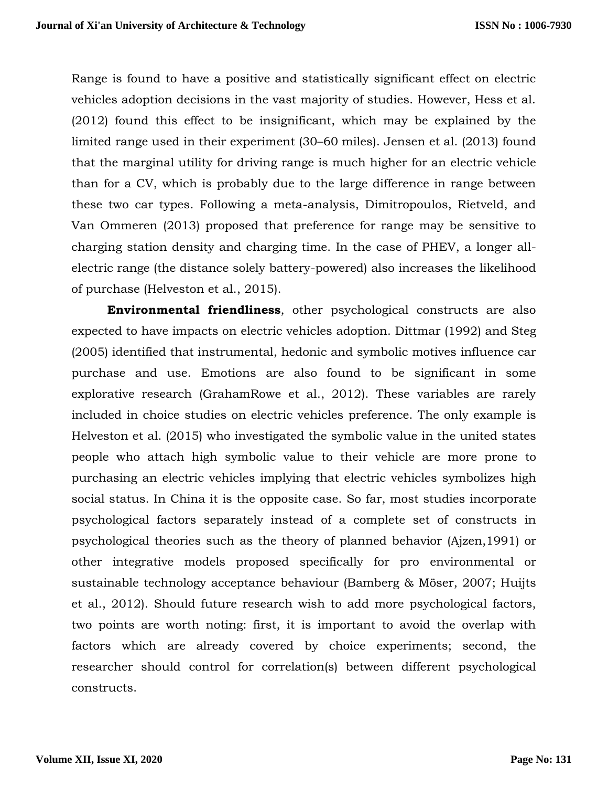Range is found to have a positive and statistically significant effect on electric vehicles adoption decisions in the vast majority of studies. However, Hess et al. (2012) found this effect to be insignificant, which may be explained by the limited range used in their experiment (30–60 miles). Jensen et al. (2013) found that the marginal utility for driving range is much higher for an electric vehicle than for a CV, which is probably due to the large difference in range between these two car types. Following a meta-analysis, Dimitropoulos, Rietveld, and Van Ommeren (2013) proposed that preference for range may be sensitive to charging station density and charging time. In the case of PHEV, a longer allelectric range (the distance solely battery-powered) also increases the likelihood of purchase (Helveston et al., 2015).

**Environmental friendliness**, other psychological constructs are also expected to have impacts on electric vehicles adoption. Dittmar (1992) and Steg (2005) identified that instrumental, hedonic and symbolic motives influence car purchase and use. Emotions are also found to be significant in some explorative research (GrahamRowe et al., 2012). These variables are rarely included in choice studies on electric vehicles preference. The only example is Helveston et al. (2015) who investigated the symbolic value in the united states people who attach high symbolic value to their vehicle are more prone to purchasing an electric vehicles implying that electric vehicles symbolizes high social status. In China it is the opposite case. So far, most studies incorporate psychological factors separately instead of a complete set of constructs in psychological theories such as the theory of planned behavior (Ajzen,1991) or other integrative models proposed specifically for pro environmental or sustainable technology acceptance behaviour (Bamberg & Möser, 2007; Huijts et al., 2012). Should future research wish to add more psychological factors, two points are worth noting: first, it is important to avoid the overlap with factors which are already covered by choice experiments; second, the researcher should control for correlation(s) between different psychological constructs.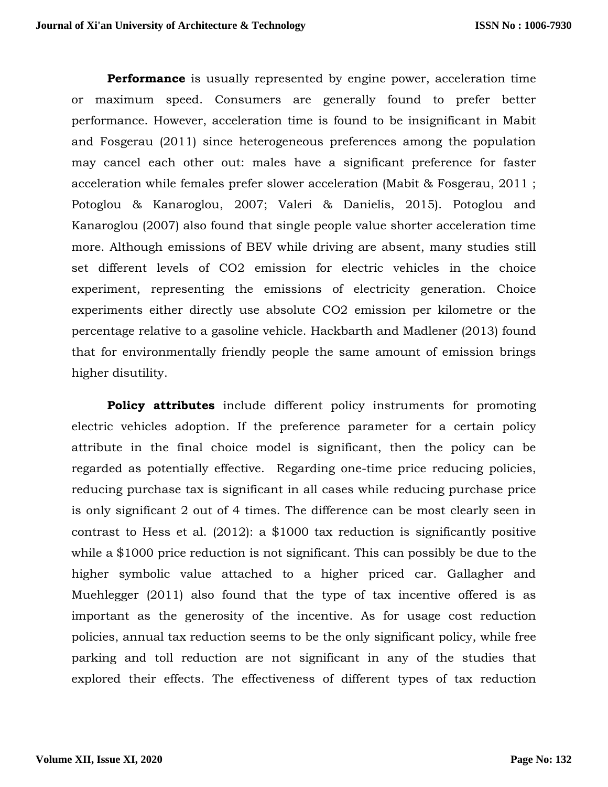**Performance** is usually represented by engine power, acceleration time or maximum speed. Consumers are generally found to prefer better performance. However, acceleration time is found to be insignificant in Mabit and Fosgerau (2011) since heterogeneous preferences among the population may cancel each other out: males have a significant preference for faster acceleration while females prefer slower acceleration (Mabit & Fosgerau, 2011 ; Potoglou & Kanaroglou, 2007; Valeri & Danielis, 2015). Potoglou and Kanaroglou (2007) also found that single people value shorter acceleration time more. Although emissions of BEV while driving are absent, many studies still set different levels of CO2 emission for electric vehicles in the choice experiment, representing the emissions of electricity generation. Choice experiments either directly use absolute CO2 emission per kilometre or the percentage relative to a gasoline vehicle. Hackbarth and Madlener (2013) found that for environmentally friendly people the same amount of emission brings higher disutility.

**Policy attributes** include different policy instruments for promoting electric vehicles adoption. If the preference parameter for a certain policy attribute in the final choice model is significant, then the policy can be regarded as potentially effective. Regarding one-time price reducing policies, reducing purchase tax is significant in all cases while reducing purchase price is only significant 2 out of 4 times. The difference can be most clearly seen in contrast to Hess et al. (2012): a \$1000 tax reduction is significantly positive while a \$1000 price reduction is not significant. This can possibly be due to the higher symbolic value attached to a higher priced car. Gallagher and Muehlegger (2011) also found that the type of tax incentive offered is as important as the generosity of the incentive. As for usage cost reduction policies, annual tax reduction seems to be the only significant policy, while free parking and toll reduction are not significant in any of the studies that explored their effects. The effectiveness of different types of tax reduction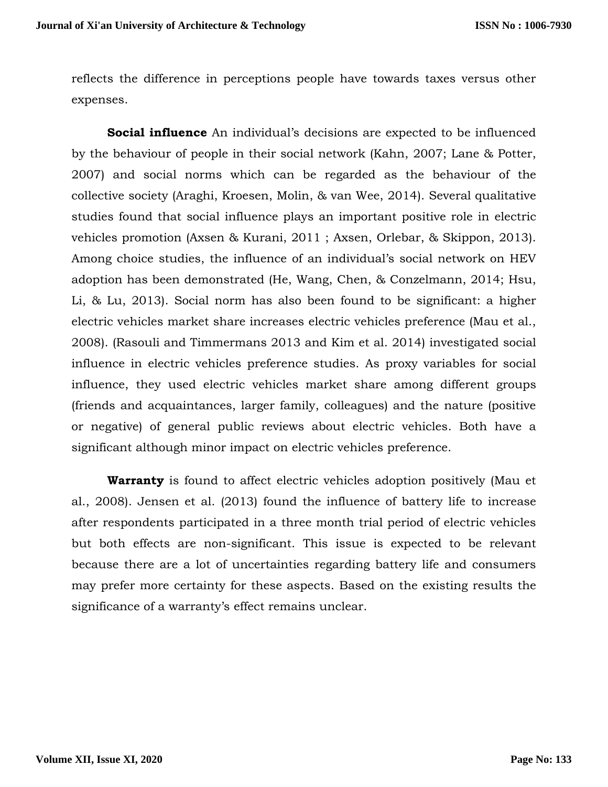reflects the difference in perceptions people have towards taxes versus other expenses.

**Social influence** An individual's decisions are expected to be influenced by the behaviour of people in their social network (Kahn, 2007; Lane & Potter, 2007) and social norms which can be regarded as the behaviour of the collective society (Araghi, Kroesen, Molin, & van Wee, 2014). Several qualitative studies found that social influence plays an important positive role in electric vehicles promotion (Axsen & Kurani, 2011 ; Axsen, Orlebar, & Skippon, 2013). Among choice studies, the influence of an individual's social network on HEV adoption has been demonstrated (He, Wang, Chen, & Conzelmann, 2014; Hsu, Li, & Lu, 2013). Social norm has also been found to be significant: a higher electric vehicles market share increases electric vehicles preference (Mau et al., 2008). (Rasouli and Timmermans 2013 and Kim et al. 2014) investigated social influence in electric vehicles preference studies. As proxy variables for social influence, they used electric vehicles market share among different groups (friends and acquaintances, larger family, colleagues) and the nature (positive or negative) of general public reviews about electric vehicles. Both have a significant although minor impact on electric vehicles preference.

**Warranty** is found to affect electric vehicles adoption positively (Mau et al., 2008). Jensen et al. (2013) found the influence of battery life to increase after respondents participated in a three month trial period of electric vehicles but both effects are non-significant. This issue is expected to be relevant because there are a lot of uncertainties regarding battery life and consumers may prefer more certainty for these aspects. Based on the existing results the significance of a warranty's effect remains unclear.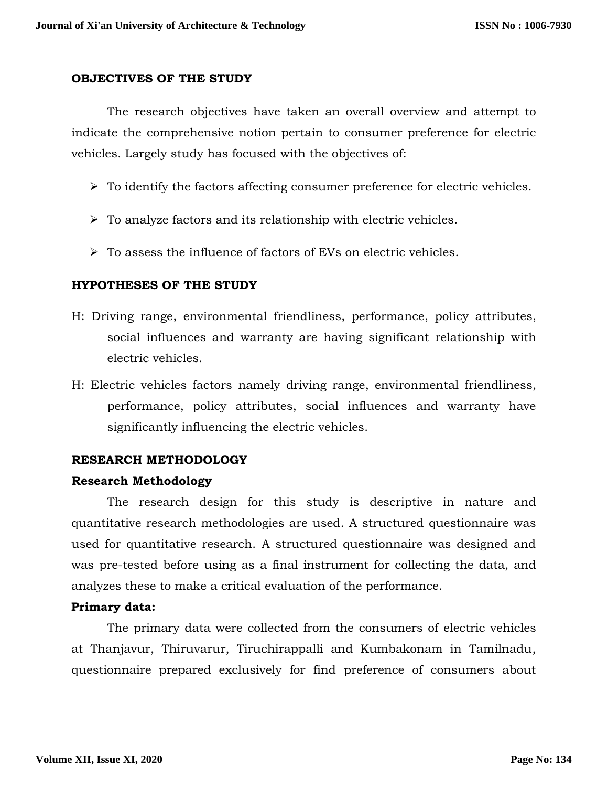#### **OBJECTIVES OF THE STUDY**

The research objectives have taken an overall overview and attempt to indicate the comprehensive notion pertain to consumer preference for electric vehicles. Largely study has focused with the objectives of:

- $\triangleright$  To identify the factors affecting consumer preference for electric vehicles.
- $\triangleright$  To analyze factors and its relationship with electric vehicles.
- $\triangleright$  To assess the influence of factors of EVs on electric vehicles.

## **HYPOTHESES OF THE STUDY**

- H: Driving range, environmental friendliness, performance, policy attributes, social influences and warranty are having significant relationship with electric vehicles.
- H: Electric vehicles factors namely driving range, environmental friendliness, performance, policy attributes, social influences and warranty have significantly influencing the electric vehicles.

## **RESEARCH METHODOLOGY**

## **Research Methodology**

The research design for this study is descriptive in nature and quantitative research methodologies are used. A structured questionnaire was used for quantitative research. A structured questionnaire was designed and was pre-tested before using as a final instrument for collecting the data, and analyzes these to make a critical evaluation of the performance.

## **Primary data:**

The primary data were collected from the consumers of electric vehicles at Thanjavur, Thiruvarur, Tiruchirappalli and Kumbakonam in Tamilnadu, questionnaire prepared exclusively for find preference of consumers about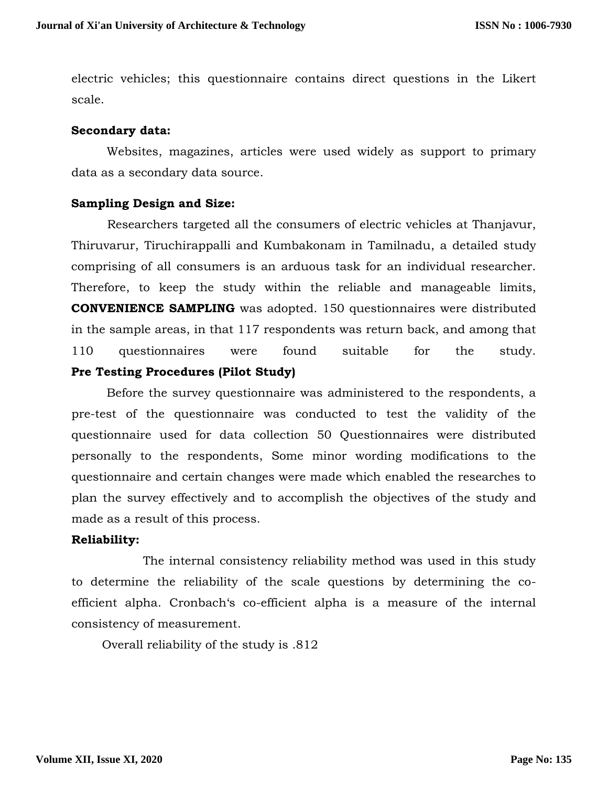electric vehicles; this questionnaire contains direct questions in the Likert scale.

## **Secondary data:**

Websites, magazines, articles were used widely as support to primary data as a secondary data source.

#### **Sampling Design and Size:**

Researchers targeted all the consumers of electric vehicles at Thanjavur, Thiruvarur, Tiruchirappalli and Kumbakonam in Tamilnadu, a detailed study comprising of all consumers is an arduous task for an individual researcher. Therefore, to keep the study within the reliable and manageable limits, **CONVENIENCE SAMPLING** was adopted. 150 questionnaires were distributed in the sample areas, in that 117 respondents was return back, and among that 110 questionnaires were found suitable for the study. **Pre Testing Procedures (Pilot Study)**

Before the survey questionnaire was administered to the respondents, a pre-test of the questionnaire was conducted to test the validity of the questionnaire used for data collection 50 Questionnaires were distributed personally to the respondents, Some minor wording modifications to the questionnaire and certain changes were made which enabled the researches to plan the survey effectively and to accomplish the objectives of the study and made as a result of this process.

## **Reliability:**

The internal consistency reliability method was used in this study to determine the reliability of the scale questions by determining the coefficient alpha. Cronbach's co-efficient alpha is a measure of the internal consistency of measurement.

Overall reliability of the study is .812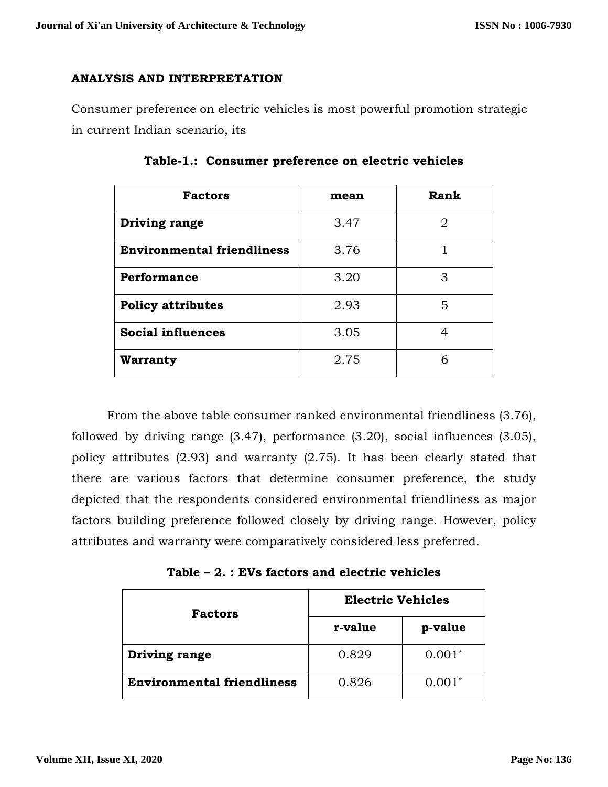# **ANALYSIS AND INTERPRETATION**

Consumer preference on electric vehicles is most powerful promotion strategic in current Indian scenario, its

| <b>Factors</b>                    | mean | Rank |  |
|-----------------------------------|------|------|--|
| Driving range                     | 3.47 | 2    |  |
| <b>Environmental friendliness</b> | 3.76 |      |  |
| Performance                       | 3.20 | 3    |  |
| <b>Policy attributes</b>          | 2.93 | 5    |  |
| <b>Social influences</b>          | 3.05 | 4    |  |
| <b>Warranty</b>                   | 2.75 | 6    |  |

**Table-1.: Consumer preference on electric vehicles**

From the above table consumer ranked environmental friendliness (3.76), followed by driving range (3.47), performance (3.20), social influences (3.05), policy attributes (2.93) and warranty (2.75). It has been clearly stated that there are various factors that determine consumer preference, the study depicted that the respondents considered environmental friendliness as major factors building preference followed closely by driving range. However, policy attributes and warranty were comparatively considered less preferred.

**Table – 2. : EVs factors and electric vehicles**

| <b>Factors</b>                    | <b>Electric Vehicles</b> |          |  |
|-----------------------------------|--------------------------|----------|--|
|                                   | r-value                  | p-value  |  |
| Driving range                     | 0.829                    | $0.001*$ |  |
| <b>Environmental friendliness</b> | 0.826                    | $0.001*$ |  |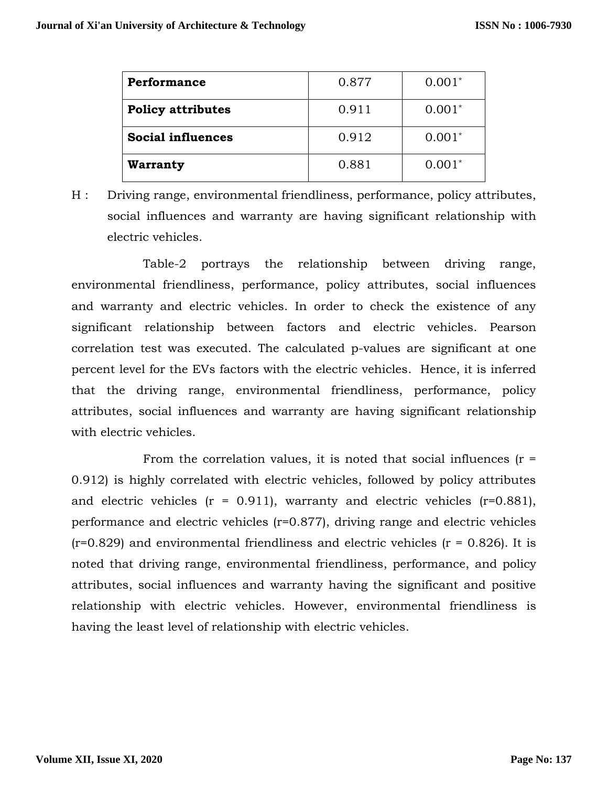| Performance              | 0.877 | $0.001*$ |
|--------------------------|-------|----------|
| <b>Policy attributes</b> | 0.911 | $0.001*$ |
| <b>Social influences</b> | 0.912 | $0.001*$ |
| <b>Warranty</b>          | 0.881 | $0.001*$ |

H : Driving range, environmental friendliness, performance, policy attributes, social influences and warranty are having significant relationship with electric vehicles.

Table-2 portrays the relationship between driving range, environmental friendliness, performance, policy attributes, social influences and warranty and electric vehicles. In order to check the existence of any significant relationship between factors and electric vehicles. Pearson correlation test was executed. The calculated p-values are significant at one percent level for the EVs factors with the electric vehicles. Hence, it is inferred that the driving range, environmental friendliness, performance, policy attributes, social influences and warranty are having significant relationship with electric vehicles.

From the correlation values, it is noted that social influences  $(r =$ 0.912) is highly correlated with electric vehicles, followed by policy attributes and electric vehicles  $(r = 0.911)$ , warranty and electric vehicles  $(r=0.881)$ , performance and electric vehicles (r=0.877), driving range and electric vehicles  $(r=0.829)$  and environmental friendliness and electric vehicles  $(r = 0.826)$ . It is noted that driving range, environmental friendliness, performance, and policy attributes, social influences and warranty having the significant and positive relationship with electric vehicles. However, environmental friendliness is having the least level of relationship with electric vehicles.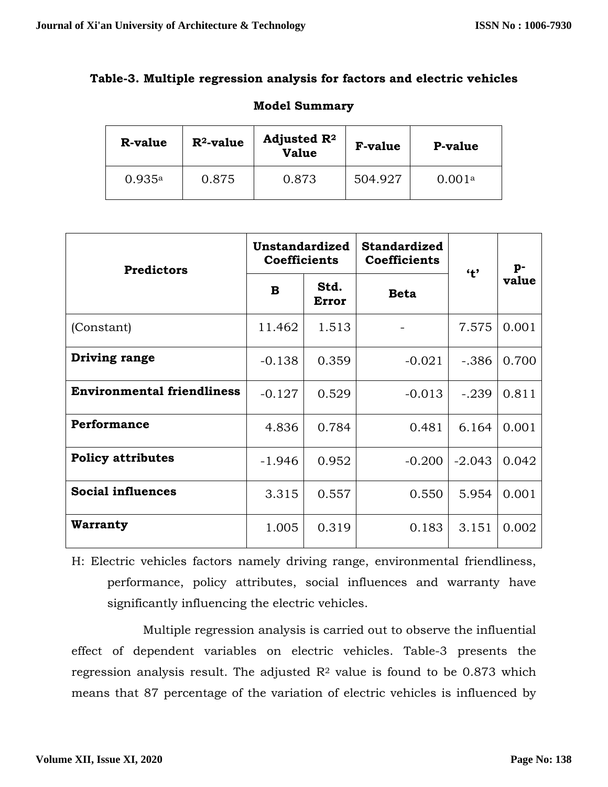# **Table-3. Multiple regression analysis for factors and electric vehicles**

| <b>R-value</b> | $R^2$ -value | Adjusted $\mathbb{R}^2$<br><b>Value</b> | <b>F-value</b> | <b>P-value</b> |
|----------------|--------------|-----------------------------------------|----------------|----------------|
| 0.935a         | 0.875        | 0.873                                   | 504.927        | 0.001a         |

# **Model Summary**

| <b>Predictors</b>                 | Unstandardized<br><b>Coefficients</b> |               | <b>Standardized</b><br><b>Coefficients</b> | 4 <sup>2</sup> | p-    |
|-----------------------------------|---------------------------------------|---------------|--------------------------------------------|----------------|-------|
|                                   | B                                     | Std.<br>Error | <b>Beta</b>                                |                | value |
| (Constant)                        | 11.462                                | 1.513         |                                            | 7.575          | 0.001 |
| Driving range                     | $-0.138$                              | 0.359         | $-0.021$                                   | $-.386$        | 0.700 |
| <b>Environmental friendliness</b> | $-0.127$                              | 0.529         | $-0.013$                                   | $-.239$        | 0.811 |
| <b>Performance</b>                | 4.836                                 | 0.784         | 0.481                                      | 6.164          | 0.001 |
| <b>Policy attributes</b>          | $-1.946$                              | 0.952         | $-0.200$                                   | $-2.043$       | 0.042 |
| <b>Social influences</b>          | 3.315                                 | 0.557         | 0.550                                      | 5.954          | 0.001 |
| Warranty                          | 1.005                                 | 0.319         | 0.183                                      | 3.151          | 0.002 |

H: Electric vehicles factors namely driving range, environmental friendliness, performance, policy attributes, social influences and warranty have significantly influencing the electric vehicles.

Multiple regression analysis is carried out to observe the influential effect of dependent variables on electric vehicles. Table-3 presents the regression analysis result. The adjusted  $R<sup>2</sup>$  value is found to be 0.873 which means that 87 percentage of the variation of electric vehicles is influenced by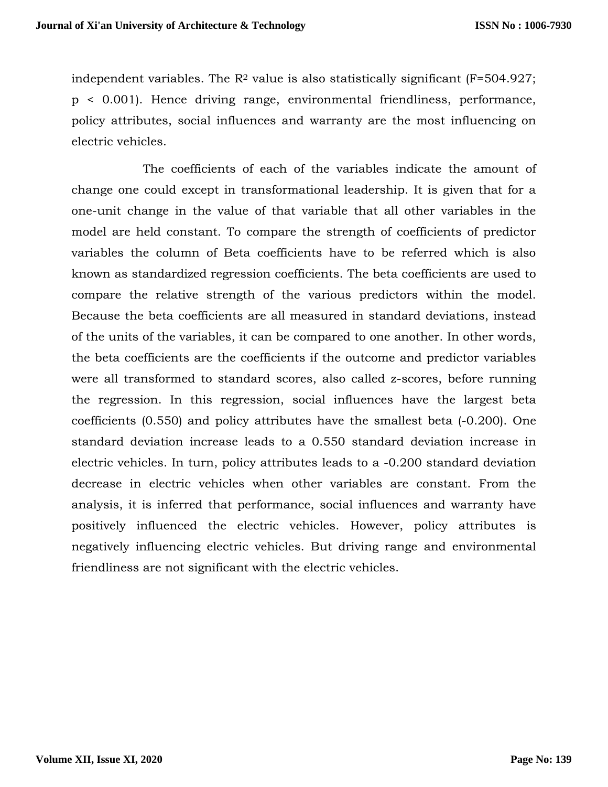independent variables. The  $\mathbb{R}^2$  value is also statistically significant (F=504.927; p < 0.001). Hence driving range, environmental friendliness, performance, policy attributes, social influences and warranty are the most influencing on electric vehicles.

The coefficients of each of the variables indicate the amount of change one could except in transformational leadership. It is given that for a one-unit change in the value of that variable that all other variables in the model are held constant. To compare the strength of coefficients of predictor variables the column of Beta coefficients have to be referred which is also known as standardized regression coefficients. The beta coefficients are used to compare the relative strength of the various predictors within the model. Because the beta coefficients are all measured in standard deviations, instead of the units of the variables, it can be compared to one another. In other words, the beta coefficients are the coefficients if the outcome and predictor variables were all transformed to standard scores, also called z-scores, before running the regression. In this regression, social influences have the largest beta coefficients (0.550) and policy attributes have the smallest beta (-0.200). One standard deviation increase leads to a 0.550 standard deviation increase in electric vehicles. In turn, policy attributes leads to a -0.200 standard deviation decrease in electric vehicles when other variables are constant. From the analysis, it is inferred that performance, social influences and warranty have positively influenced the electric vehicles. However, policy attributes is negatively influencing electric vehicles. But driving range and environmental friendliness are not significant with the electric vehicles.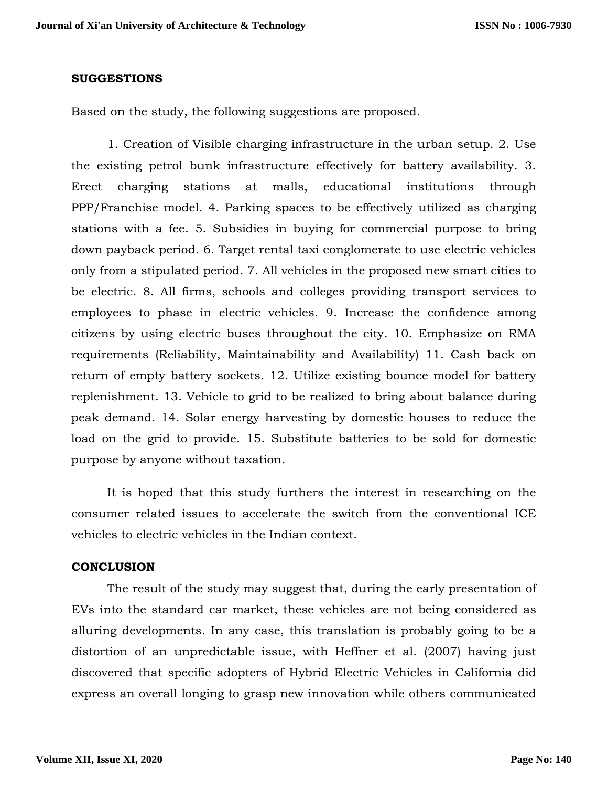#### **SUGGESTIONS**

Based on the study, the following suggestions are proposed.

1. Creation of Visible charging infrastructure in the urban setup. 2. Use the existing petrol bunk infrastructure effectively for battery availability. 3. Erect charging stations at malls, educational institutions through PPP/Franchise model. 4. Parking spaces to be effectively utilized as charging stations with a fee. 5. Subsidies in buying for commercial purpose to bring down payback period. 6. Target rental taxi conglomerate to use electric vehicles only from a stipulated period. 7. All vehicles in the proposed new smart cities to be electric. 8. All firms, schools and colleges providing transport services to employees to phase in electric vehicles. 9. Increase the confidence among citizens by using electric buses throughout the city. 10. Emphasize on RMA requirements (Reliability, Maintainability and Availability) 11. Cash back on return of empty battery sockets. 12. Utilize existing bounce model for battery replenishment. 13. Vehicle to grid to be realized to bring about balance during peak demand. 14. Solar energy harvesting by domestic houses to reduce the load on the grid to provide. 15. Substitute batteries to be sold for domestic purpose by anyone without taxation.

It is hoped that this study furthers the interest in researching on the consumer related issues to accelerate the switch from the conventional ICE vehicles to electric vehicles in the Indian context.

#### **CONCLUSION**

The result of the study may suggest that, during the early presentation of EVs into the standard car market, these vehicles are not being considered as alluring developments. In any case, this translation is probably going to be a distortion of an unpredictable issue, with Heffner et al. (2007) having just discovered that specific adopters of Hybrid Electric Vehicles in California did express an overall longing to grasp new innovation while others communicated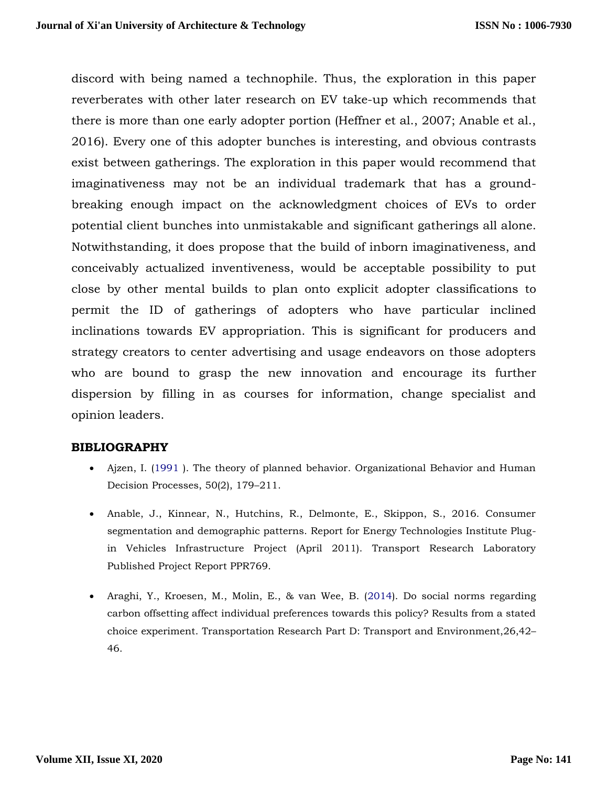discord with being named a technophile. Thus, the exploration in this paper reverberates with other later research on EV take-up which recommends that there is more than one early adopter portion (Heffner et al., 2007; Anable et al., 2016). Every one of this adopter bunches is interesting, and obvious contrasts exist between gatherings. The exploration in this paper would recommend that imaginativeness may not be an individual trademark that has a groundbreaking enough impact on the acknowledgment choices of EVs to order potential client bunches into unmistakable and significant gatherings all alone. Notwithstanding, it does propose that the build of inborn imaginativeness, and conceivably actualized inventiveness, would be acceptable possibility to put close by other mental builds to plan onto explicit adopter classifications to permit the ID of gatherings of adopters who have particular inclined inclinations towards EV appropriation. This is significant for producers and strategy creators to center advertising and usage endeavors on those adopters who are bound to grasp the new innovation and encourage its further dispersion by filling in as courses for information, change specialist and opinion leaders.

## **BIBLIOGRAPHY**

- Ajzen, I. (1991 ). The theory of planned behavior. Organizational Behavior and Human Decision Processes, 50(2), 179–211.
- Anable, J., Kinnear, N., Hutchins, R., Delmonte, E., Skippon, S., 2016. Consumer segmentation and demographic patterns. Report for Energy Technologies Institute Plugin Vehicles Infrastructure Project (April 2011). Transport Research Laboratory Published Project Report PPR769.
- Araghi, Y., Kroesen, M., Molin, E., & van Wee, B. (2014). Do social norms regarding carbon offsetting affect individual preferences towards this policy? Results from a stated choice experiment. Transportation Research Part D: Transport and Environment,26,42– 46.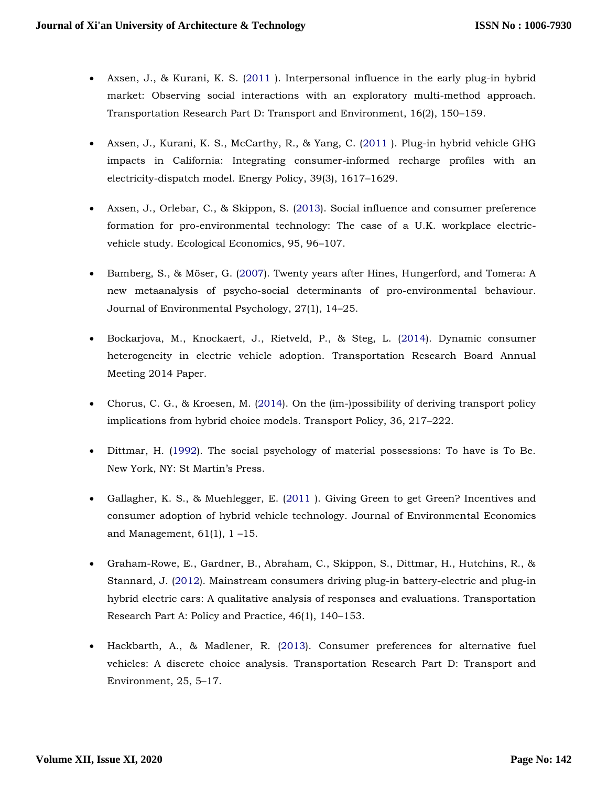- Axsen, J., & Kurani, K. S. (2011 ). Interpersonal influence in the early plug-in hybrid market: Observing social interactions with an exploratory multi-method approach. Transportation Research Part D: Transport and Environment, 16(2), 150–159.
- Axsen, J., Kurani, K. S., McCarthy, R., & Yang, C. (2011 ). Plug-in hybrid vehicle GHG impacts in California: Integrating consumer-informed recharge profiles with an electricity-dispatch model. Energy Policy, 39(3), 1617–1629.
- Axsen, J., Orlebar, C., & Skippon, S. (2013). Social influence and consumer preference formation for pro-environmental technology: The case of a U.K. workplace electricvehicle study. Ecological Economics, 95, 96–107.
- Bamberg, S., & Möser, G. (2007). Twenty years after Hines, Hungerford, and Tomera: A new metaanalysis of psycho-social determinants of pro-environmental behaviour. Journal of Environmental Psychology, 27(1), 14–25.
- Bockarjova, M., Knockaert, J., Rietveld, P., & Steg, L. (2014). Dynamic consumer heterogeneity in electric vehicle adoption. Transportation Research Board Annual Meeting 2014 Paper.
- Chorus, C. G., & Kroesen, M. (2014). On the (im-)possibility of deriving transport policy implications from hybrid choice models. Transport Policy, 36, 217–222.
- Dittmar, H. (1992). The social psychology of material possessions: To have is To Be. New York, NY: St Martin's Press.
- Gallagher, K. S., & Muehlegger, E. (2011 ). Giving Green to get Green? Incentives and consumer adoption of hybrid vehicle technology. Journal of Environmental Economics and Management,  $61(1)$ ,  $1 - 15$ .
- Graham-Rowe, E., Gardner, B., Abraham, C., Skippon, S., Dittmar, H., Hutchins, R., & Stannard, J. (2012). Mainstream consumers driving plug-in battery-electric and plug-in hybrid electric cars: A qualitative analysis of responses and evaluations. Transportation Research Part A: Policy and Practice, 46(1), 140–153.
- Hackbarth, A., & Madlener, R. (2013). Consumer preferences for alternative fuel vehicles: A discrete choice analysis. Transportation Research Part D: Transport and Environment, 25, 5–17.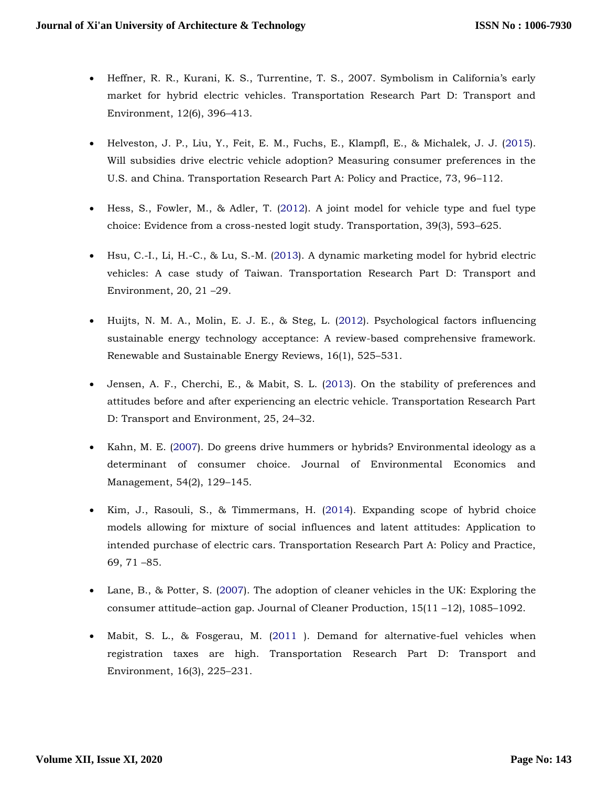- Heffner, R. R., Kurani, K. S., Turrentine, T. S., 2007. Symbolism in California's early market for hybrid electric vehicles. Transportation Research Part D: Transport and Environment, 12(6), 396–413.
- Helveston, J. P., Liu, Y., Feit, E. M., Fuchs, E., Klampfl, E., & Michalek, J. J. (2015). Will subsidies drive electric vehicle adoption? Measuring consumer preferences in the U.S. and China. Transportation Research Part A: Policy and Practice, 73, 96–112.
- Hess, S., Fowler, M., & Adler, T. (2012). A joint model for vehicle type and fuel type choice: Evidence from a cross-nested logit study. Transportation, 39(3), 593–625.
- Hsu, C.-I., Li, H.-C., & Lu, S.-M. (2013). A dynamic marketing model for hybrid electric vehicles: A case study of Taiwan. Transportation Research Part D: Transport and Environment, 20, 21 –29.
- Huijts, N. M. A., Molin, E. J. E., & Steg, L. (2012). Psychological factors influencing sustainable energy technology acceptance: A review-based comprehensive framework. Renewable and Sustainable Energy Reviews, 16(1), 525–531.
- Jensen, A. F., Cherchi, E., & Mabit, S. L. (2013). On the stability of preferences and attitudes before and after experiencing an electric vehicle. Transportation Research Part D: Transport and Environment, 25, 24–32.
- Kahn, M. E. (2007). Do greens drive hummers or hybrids? Environmental ideology as a determinant of consumer choice. Journal of Environmental Economics and Management, 54(2), 129–145.
- Kim, J., Rasouli, S., & Timmermans, H. (2014). Expanding scope of hybrid choice models allowing for mixture of social influences and latent attitudes: Application to intended purchase of electric cars. Transportation Research Part A: Policy and Practice, 69, 71 –85.
- Lane, B., & Potter, S. (2007). The adoption of cleaner vehicles in the UK: Exploring the consumer attitude–action gap. Journal of Cleaner Production, 15(11 –12), 1085–1092.
- Mabit, S. L., & Fosgerau, M. (2011 ). Demand for alternative-fuel vehicles when registration taxes are high. Transportation Research Part D: Transport and Environment, 16(3), 225–231.